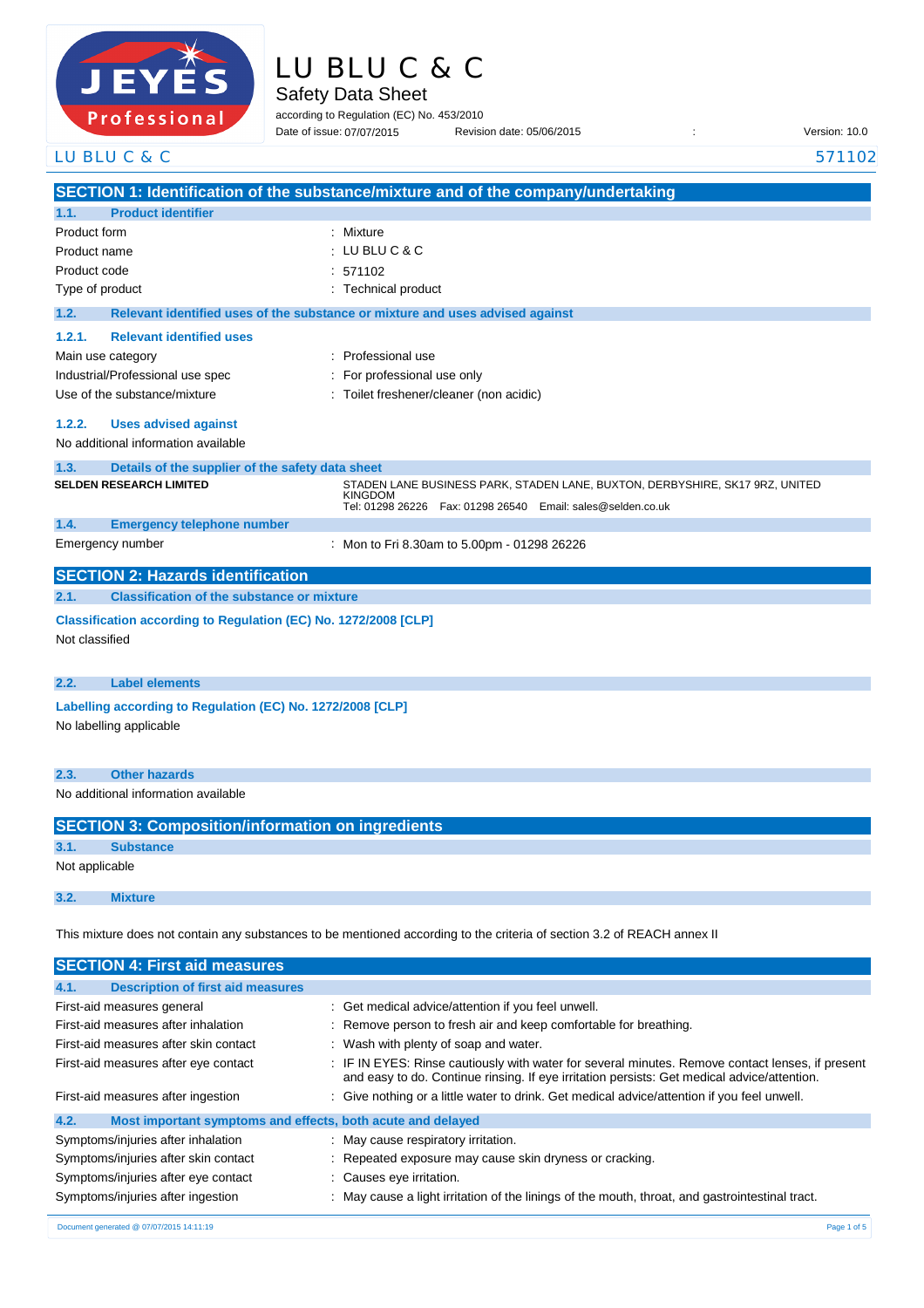

| LU BLU C & C |  |
|--------------|--|
|--------------|--|

Safety Data Sheet

according to Regulation (EC) No. 453/2010 Date of issue: Revision date: 05/06/2015 : Version: 10.0 Date of issue: 07/07/2015

|                | LU BLU C & C                                                    |                                                                                                                                                                     | 571102 |
|----------------|-----------------------------------------------------------------|---------------------------------------------------------------------------------------------------------------------------------------------------------------------|--------|
|                |                                                                 | SECTION 1: Identification of the substance/mixture and of the company/undertaking                                                                                   |        |
| 1.1.           | <b>Product identifier</b>                                       |                                                                                                                                                                     |        |
| Product form   |                                                                 | : Mixture                                                                                                                                                           |        |
| Product name   |                                                                 | : LU BLU C & C                                                                                                                                                      |        |
| Product code   |                                                                 | 571102                                                                                                                                                              |        |
|                | Type of product                                                 | : Technical product                                                                                                                                                 |        |
| 1.2.           |                                                                 | Relevant identified uses of the substance or mixture and uses advised against                                                                                       |        |
| 1.2.1.         | <b>Relevant identified uses</b>                                 |                                                                                                                                                                     |        |
|                | Main use category                                               | Professional use                                                                                                                                                    |        |
|                | Industrial/Professional use spec                                | For professional use only                                                                                                                                           |        |
|                | Use of the substance/mixture                                    | Toilet freshener/cleaner (non acidic)                                                                                                                               |        |
| 1.2.2.         | <b>Uses advised against</b>                                     |                                                                                                                                                                     |        |
|                | No additional information available                             |                                                                                                                                                                     |        |
| 1.3.           | Details of the supplier of the safety data sheet                |                                                                                                                                                                     |        |
|                | <b>SELDEN RESEARCH LIMITED</b>                                  | STADEN LANE BUSINESS PARK, STADEN LANE, BUXTON, DERBYSHIRE, SK17 9RZ, UNITED<br><b>KINGDOM</b><br>Tel: 01298 26226    Fax: 01298 26540    Email: sales@selden.co.uk |        |
| 1.4.           | <b>Emergency telephone number</b>                               |                                                                                                                                                                     |        |
|                | Emergency number                                                | : Mon to Fri 8.30am to 5.00pm - 01298 26226                                                                                                                         |        |
|                | <b>SECTION 2: Hazards identification</b>                        |                                                                                                                                                                     |        |
| 2.1.           | <b>Classification of the substance or mixture</b>               |                                                                                                                                                                     |        |
| Not classified | Classification according to Regulation (EC) No. 1272/2008 [CLP] |                                                                                                                                                                     |        |
| 2.2.           | <b>Label elements</b>                                           |                                                                                                                                                                     |        |
|                | Labelling according to Regulation (EC) No. 1272/2008 [CLP]      |                                                                                                                                                                     |        |
|                | No labelling applicable                                         |                                                                                                                                                                     |        |
| 2.3.           | <b>Other hazards</b>                                            |                                                                                                                                                                     |        |
|                | No additional information available                             |                                                                                                                                                                     |        |
|                | <b>SECTION 3: Composition/information on ingredients</b>        |                                                                                                                                                                     |        |
| 3.1.           | <b>Substance</b>                                                |                                                                                                                                                                     |        |
|                | Not applicable                                                  |                                                                                                                                                                     |        |
| 3.2.           | <b>Mixture</b>                                                  |                                                                                                                                                                     |        |
|                |                                                                 | This mixture does not contain any substances to be mentioned according to the criteria of section 3.2 of REACH annex II                                             |        |

| <b>SECTION 4: First aid measures</b>                                |                                                                                                                                                                                                 |
|---------------------------------------------------------------------|-------------------------------------------------------------------------------------------------------------------------------------------------------------------------------------------------|
| <b>Description of first aid measures</b><br>4.1.                    |                                                                                                                                                                                                 |
| First-aid measures general                                          | : Get medical advice/attention if you feel unwell.                                                                                                                                              |
| First-aid measures after inhalation                                 | : Remove person to fresh air and keep comfortable for breathing.                                                                                                                                |
| First-aid measures after skin contact                               | : Wash with plenty of soap and water.                                                                                                                                                           |
| First-aid measures after eye contact                                | : IF IN EYES: Rinse cautiously with water for several minutes. Remove contact lenses, if present<br>and easy to do. Continue rinsing. If eye irritation persists: Get medical advice/attention. |
| First-aid measures after ingestion                                  | : Give nothing or a little water to drink. Get medical advice/attention if you feel unwell.                                                                                                     |
| 4.2.<br>Most important symptoms and effects, both acute and delayed |                                                                                                                                                                                                 |
| Symptoms/injuries after inhalation                                  | : May cause respiratory irritation.                                                                                                                                                             |
| Symptoms/injuries after skin contact                                | : Repeated exposure may cause skin dryness or cracking.                                                                                                                                         |
| Symptoms/injuries after eye contact                                 | : Causes eye irritation.                                                                                                                                                                        |
| Symptoms/injuries after ingestion                                   | : May cause a light irritation of the linings of the mouth, throat, and gastrointestinal tract.                                                                                                 |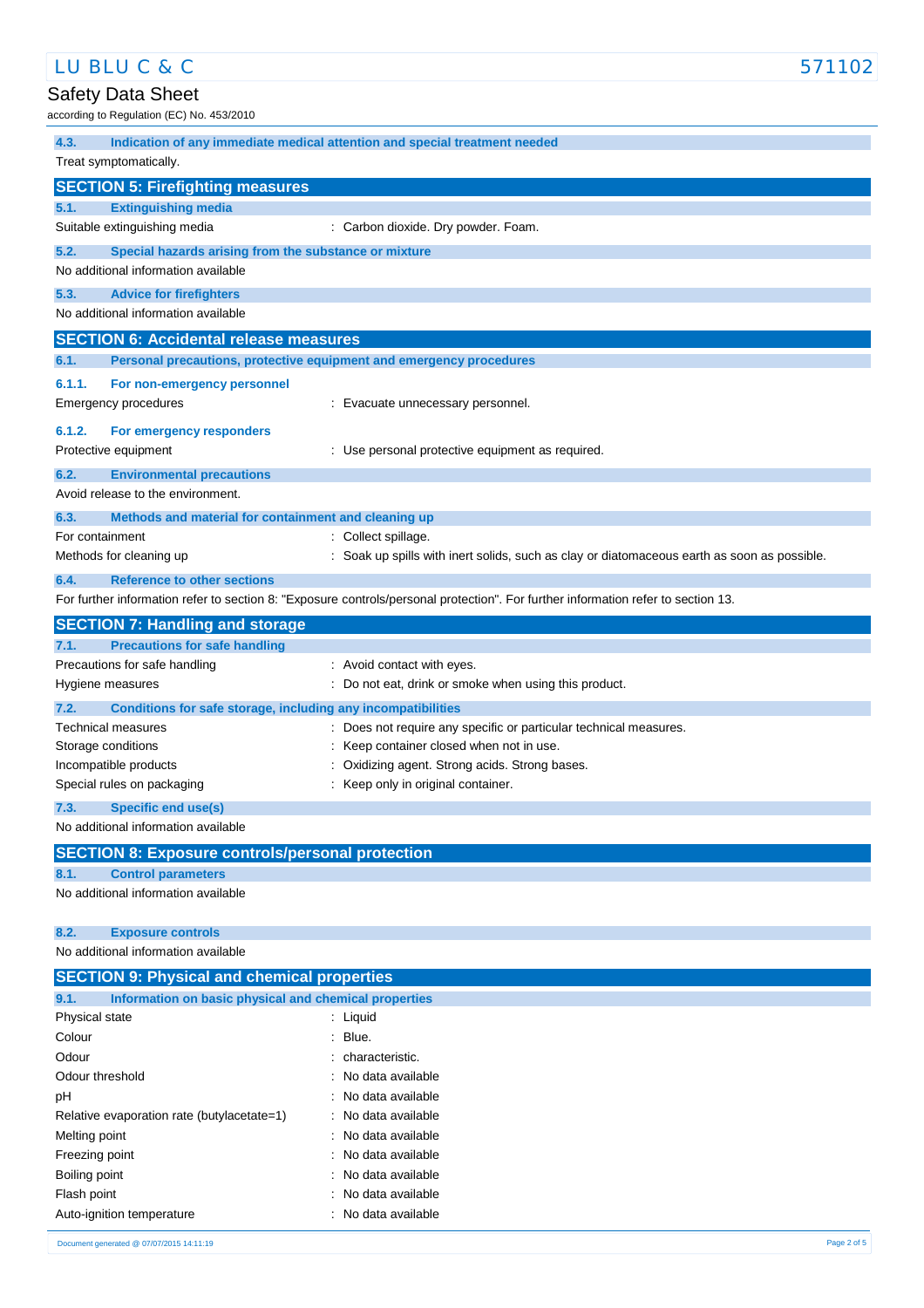# LU BLU C & C 571102

# Safety Data Sheet

according to Regulation (EC) No. 453/2010

| $100$ and $100$ is a complete to $100$ .                             |                                                                                                                                   |
|----------------------------------------------------------------------|-----------------------------------------------------------------------------------------------------------------------------------|
| 4.3.                                                                 | Indication of any immediate medical attention and special treatment needed                                                        |
| Treat symptomatically.                                               |                                                                                                                                   |
| <b>SECTION 5: Firefighting measures</b>                              |                                                                                                                                   |
| <b>Extinguishing media</b><br>5.1.                                   |                                                                                                                                   |
| Suitable extinguishing media                                         | : Carbon dioxide. Dry powder. Foam.                                                                                               |
| 5.2.<br>Special hazards arising from the substance or mixture        |                                                                                                                                   |
| No additional information available                                  |                                                                                                                                   |
| 5.3.<br><b>Advice for firefighters</b>                               |                                                                                                                                   |
| No additional information available                                  |                                                                                                                                   |
| <b>SECTION 6: Accidental release measures</b>                        |                                                                                                                                   |
| 6.1.                                                                 | Personal precautions, protective equipment and emergency procedures                                                               |
| 6.1.1.<br>For non-emergency personnel                                |                                                                                                                                   |
| <b>Emergency procedures</b>                                          | : Evacuate unnecessary personnel.                                                                                                 |
| 6.1.2.<br>For emergency responders                                   |                                                                                                                                   |
| Protective equipment                                                 | : Use personal protective equipment as required.                                                                                  |
| 6.2.<br><b>Environmental precautions</b>                             |                                                                                                                                   |
| Avoid release to the environment.                                    |                                                                                                                                   |
| 6.3.<br>Methods and material for containment and cleaning up         |                                                                                                                                   |
| For containment                                                      | : Collect spillage.                                                                                                               |
| Methods for cleaning up                                              | : Soak up spills with inert solids, such as clay or diatomaceous earth as soon as possible.                                       |
| 6.4.<br><b>Reference to other sections</b>                           |                                                                                                                                   |
|                                                                      | For further information refer to section 8: "Exposure controls/personal protection". For further information refer to section 13. |
| <b>SECTION 7: Handling and storage</b>                               |                                                                                                                                   |
| <b>Precautions for safe handling</b><br>7.1.                         |                                                                                                                                   |
| Precautions for safe handling                                        | : Avoid contact with eyes.                                                                                                        |
| Hygiene measures                                                     | : Do not eat, drink or smoke when using this product.                                                                             |
| 7.2.<br>Conditions for safe storage, including any incompatibilities |                                                                                                                                   |
| <b>Technical measures</b>                                            | : Does not require any specific or particular technical measures.                                                                 |
| Storage conditions<br>Incompatible products                          | : Keep container closed when not in use.<br>: Oxidizing agent. Strong acids. Strong bases.                                        |
| Special rules on packaging                                           | : Keep only in original container.                                                                                                |
| 7.3.<br>Specific end use(s)                                          |                                                                                                                                   |
| No additional information available                                  |                                                                                                                                   |
| <b>SECTION 8: Exposure controls/personal protection</b>              |                                                                                                                                   |
| <b>Control parameters</b><br>8.1.                                    |                                                                                                                                   |
| No additional information available                                  |                                                                                                                                   |
|                                                                      |                                                                                                                                   |
| 8.2.<br><b>Exposure controls</b>                                     |                                                                                                                                   |
| No additional information available                                  |                                                                                                                                   |
| <b>SECTION 9: Physical and chemical properties</b>                   |                                                                                                                                   |
| Information on basic physical and chemical properties<br>9.1.        |                                                                                                                                   |
| Physical state                                                       | : Liquid                                                                                                                          |
| Colour                                                               | $:$ Blue.                                                                                                                         |
| Odour                                                                | : characteristic.                                                                                                                 |
| Odour threshold                                                      | No data available                                                                                                                 |
| pH                                                                   | No data available                                                                                                                 |
| Relative evaporation rate (butylacetate=1)                           | No data available                                                                                                                 |
| Melting point                                                        | No data available                                                                                                                 |
| Freezing point                                                       | No data available                                                                                                                 |
| Boiling point<br>Flash point                                         | : No data available<br>No data available                                                                                          |
| Auto-ignition temperature                                            | No data available                                                                                                                 |
|                                                                      |                                                                                                                                   |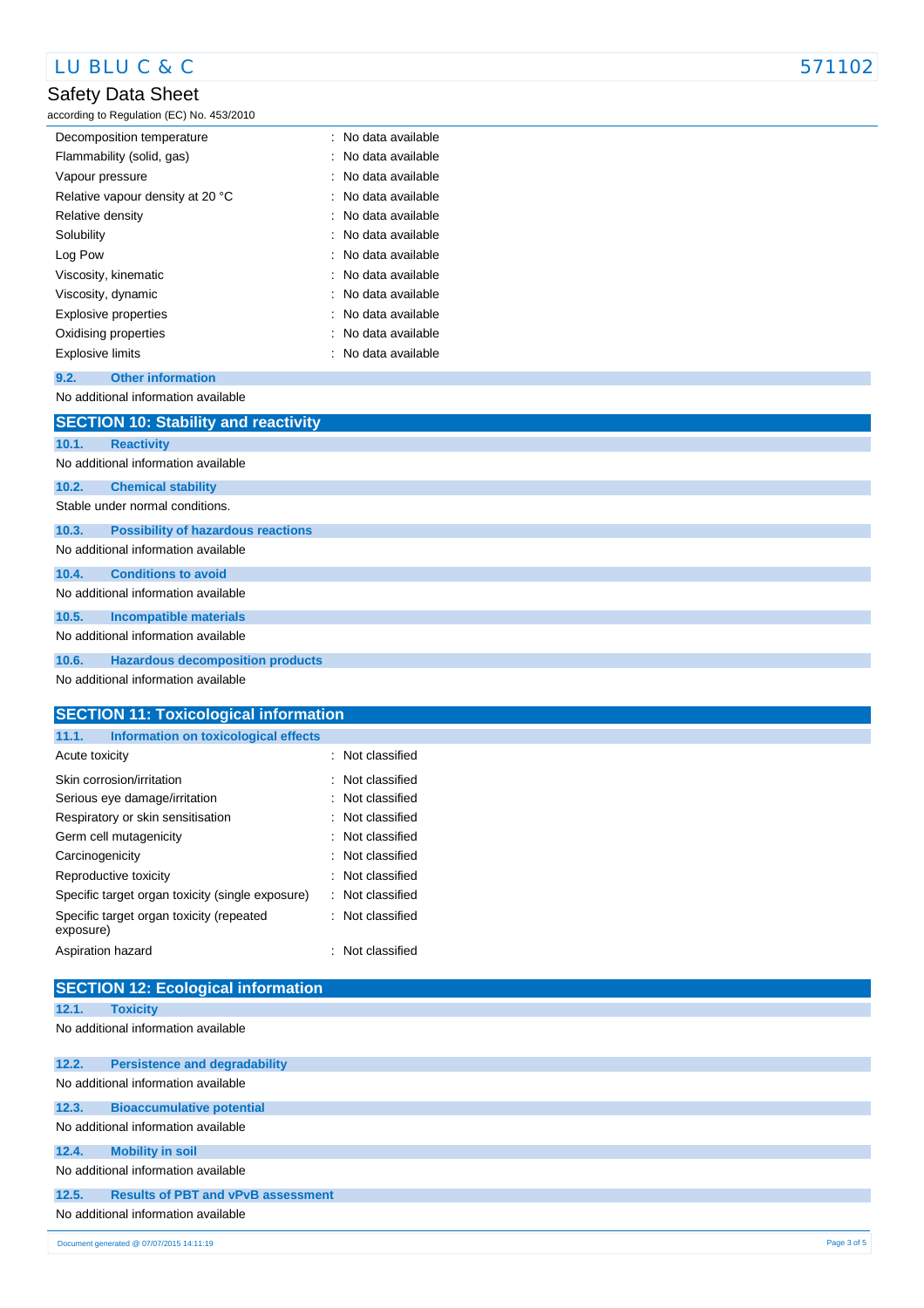## Safety Data Sheet

according to Regulation (EC) No. 453/2010

| Decomposition temperature        | No data available   |
|----------------------------------|---------------------|
| Flammability (solid, gas)        | No data available   |
| Vapour pressure                  | No data available   |
| Relative vapour density at 20 °C | No data available   |
| Relative density                 | : No data available |
| Solubility                       | : No data available |
| Log Pow                          | : No data available |
| Viscosity, kinematic             | : No data available |
| Viscosity, dynamic               | : No data available |
| Explosive properties             | : No data available |
| Oxidising properties             | : No data available |
| <b>Explosive limits</b>          | : No data available |

#### **9.2. Other information**

No additional information available

|       | <b>SECTION 10: Stability and reactivity</b> |
|-------|---------------------------------------------|
| 10.1. | <b>Reactivity</b>                           |
|       | No additional information available         |
| 10.2. | <b>Chemical stability</b>                   |
|       | Stable under normal conditions.             |
| 10.3. | <b>Possibility of hazardous reactions</b>   |
|       | No additional information available         |
| 10.4. | <b>Conditions to avoid</b>                  |
|       | No additional information available         |
| 10.5. | <b>Incompatible materials</b>               |
|       | No additional information available         |
| 10.6. | <b>Hazardous decomposition products</b>     |
|       | No additional information available         |

| <b>SECTION 11: Toxicological information</b>          |                  |
|-------------------------------------------------------|------------------|
| Information on toxicological effects<br>11.1.         |                  |
| Acute toxicity                                        | : Not classified |
| Skin corrosion/irritation                             | : Not classified |
| Serious eye damage/irritation                         | : Not classified |
| Respiratory or skin sensitisation                     | : Not classified |
| Germ cell mutagenicity                                | : Not classified |
| Carcinogenicity                                       | : Not classified |
| Reproductive toxicity                                 | Not classified   |
| Specific target organ toxicity (single exposure)      | : Not classified |
| Specific target organ toxicity (repeated<br>exposure) | : Not classified |
| Aspiration hazard                                     | : Not classified |

#### **12.1. Toxicity**

No additional information available

|       | Document generated @ 07/07/2015 14:11:19  | Page 3 of 5 |
|-------|-------------------------------------------|-------------|
|       | No additional information available       |             |
| 12.5. | <b>Results of PBT and vPvB assessment</b> |             |
|       | No additional information available       |             |
| 12.4. | <b>Mobility in soil</b>                   |             |
|       | No additional information available       |             |
| 12.3. | <b>Bioaccumulative potential</b>          |             |
|       | No additional information available       |             |
| 12.2. | <b>Persistence and degradability</b>      |             |
|       |                                           |             |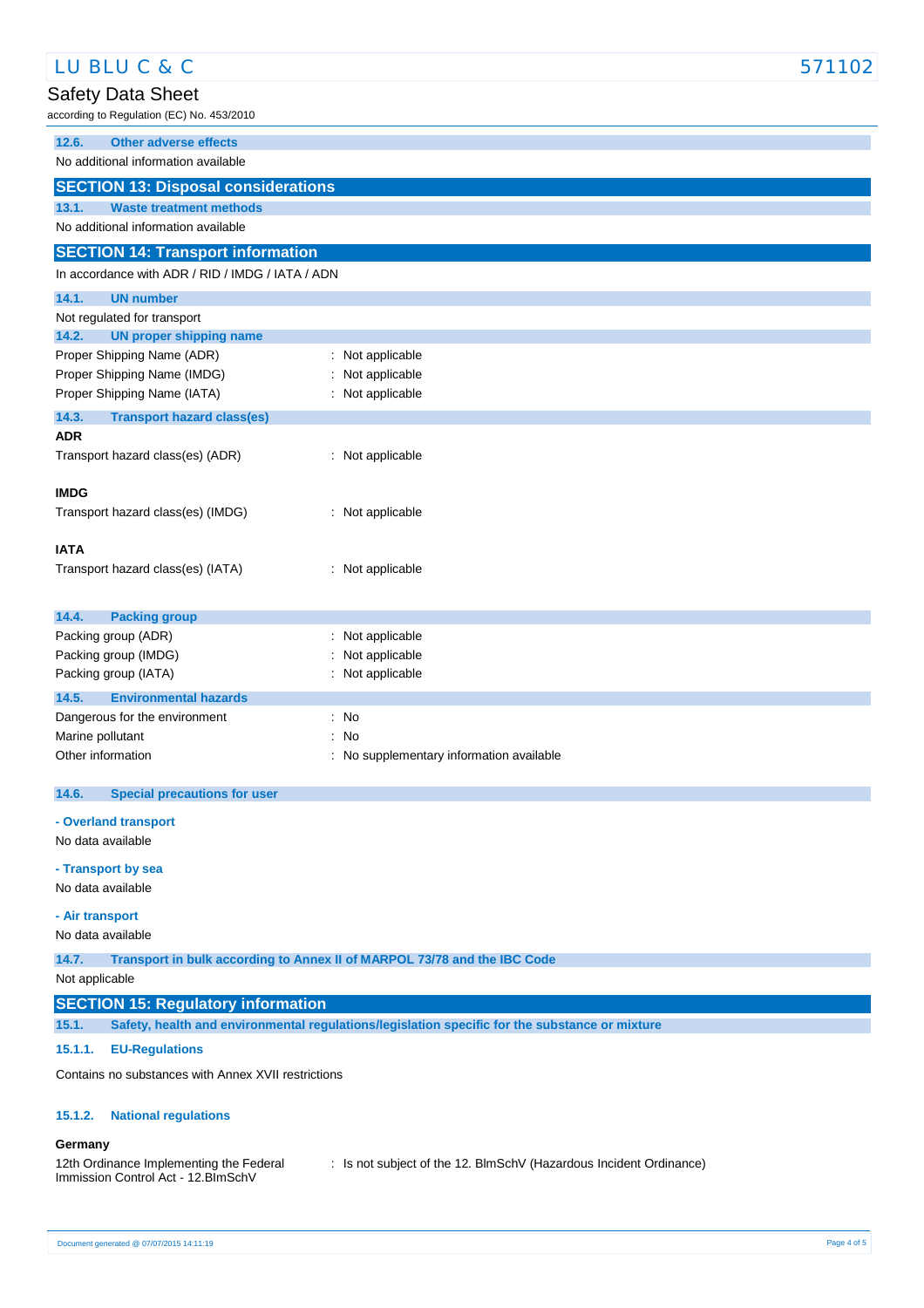| LU BLU C & C                                                                                            |                                                                          | 571102 |
|---------------------------------------------------------------------------------------------------------|--------------------------------------------------------------------------|--------|
| Safety Data Sheet                                                                                       |                                                                          |        |
| according to Regulation (EC) No. 453/2010                                                               |                                                                          |        |
| <b>Other adverse effects</b><br>12.6.                                                                   |                                                                          |        |
| No additional information available                                                                     |                                                                          |        |
| <b>SECTION 13: Disposal considerations</b>                                                              |                                                                          |        |
| 13.1.<br><b>Waste treatment methods</b>                                                                 |                                                                          |        |
| No additional information available                                                                     |                                                                          |        |
| <b>SECTION 14: Transport information</b>                                                                |                                                                          |        |
| In accordance with ADR / RID / IMDG / IATA / ADN                                                        |                                                                          |        |
| 14.1.<br><b>UN number</b>                                                                               |                                                                          |        |
| Not regulated for transport                                                                             |                                                                          |        |
| <b>UN proper shipping name</b><br>14.2.<br>Proper Shipping Name (ADR)                                   | : Not applicable                                                         |        |
| Proper Shipping Name (IMDG)                                                                             | Not applicable                                                           |        |
| Proper Shipping Name (IATA)                                                                             | : Not applicable                                                         |        |
| 14.3.<br><b>Transport hazard class(es)</b>                                                              |                                                                          |        |
| <b>ADR</b>                                                                                              |                                                                          |        |
| Transport hazard class(es) (ADR)                                                                        | : Not applicable                                                         |        |
| <b>IMDG</b>                                                                                             |                                                                          |        |
| Transport hazard class(es) (IMDG)                                                                       | : Not applicable                                                         |        |
|                                                                                                         |                                                                          |        |
| <b>IATA</b>                                                                                             |                                                                          |        |
| Transport hazard class(es) (IATA)                                                                       | : Not applicable                                                         |        |
|                                                                                                         |                                                                          |        |
| 14.4.<br><b>Packing group</b>                                                                           |                                                                          |        |
| Packing group (ADR)                                                                                     | Not applicable                                                           |        |
| Packing group (IMDG)<br>Packing group (IATA)                                                            | Not applicable<br>: Not applicable                                       |        |
| 14.5.<br><b>Environmental hazards</b>                                                                   |                                                                          |        |
| Dangerous for the environment                                                                           | $:$ No                                                                   |        |
| Marine pollutant                                                                                        | : No                                                                     |        |
| Other information                                                                                       | : No supplementary information available                                 |        |
|                                                                                                         |                                                                          |        |
| 14.6.<br><b>Special precautions for user</b>                                                            |                                                                          |        |
| - Overland transport                                                                                    |                                                                          |        |
| No data available                                                                                       |                                                                          |        |
| - Transport by sea                                                                                      |                                                                          |        |
| No data available                                                                                       |                                                                          |        |
| - Air transport                                                                                         |                                                                          |        |
| No data available                                                                                       |                                                                          |        |
| 14.7.                                                                                                   | Transport in bulk according to Annex II of MARPOL 73/78 and the IBC Code |        |
| Not applicable                                                                                          |                                                                          |        |
| <b>SECTION 15: Regulatory information</b>                                                               |                                                                          |        |
| Safety, health and environmental regulations/legislation specific for the substance or mixture<br>15.1. |                                                                          |        |
| 15.1.1.<br><b>EU-Regulations</b>                                                                        |                                                                          |        |
| Contains no substances with Annex XVII restrictions                                                     |                                                                          |        |
| 15.1.2.<br><b>National regulations</b>                                                                  |                                                                          |        |
|                                                                                                         |                                                                          |        |
| Germany                                                                                                 |                                                                          |        |
| 12th Ordinance Implementing the Federal<br>Immission Control Act - 12. BlmSchV                          | : Is not subject of the 12. BImSchV (Hazardous Incident Ordinance)       |        |
|                                                                                                         |                                                                          |        |

 $\sqrt{2}$